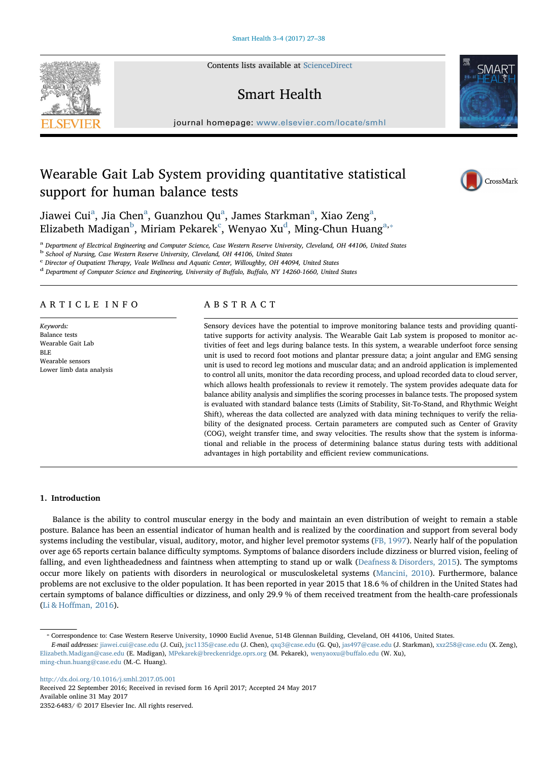Contents lists available at [ScienceDirect](http://www.sciencedirect.com/science/journal/23526483)

# Smart Health

journal homepage: [www.elsevier.com/locate/smhl](http://www.elsevier.com/locate/smhl)

# Wearable Gait Lab System providing quantitative statistical support for human balance tests



<span id="page-0-0"></span><sup>a</sup> Department of Electrical Engineering and Computer Science, Case Western Reserve University, Cleveland, OH 44106, United States

<span id="page-0-1"></span><sup>b</sup> School of Nursing, Case Western Reserve University, Cleveland, OH 44106, United States

<span id="page-0-2"></span><sup>c</sup> Director of Outpatient Therapy, Veale Wellness and Aquatic Center, Willoughby, OH 44094, United States

<span id="page-0-3"></span><sup>d</sup> Department of Computer Science and Engineering, University of Buffalo, Buffalo, NY 14260-1660, United States

# ARTICLE INFO

Keywords: Balance tests Wearable Gait Lab BLE Wearable sensors Lower limb data analysis

## ABSTRACT

Sensory devices have the potential to improve monitoring balance tests and providing quantitative supports for activity analysis. The Wearable Gait Lab system is proposed to monitor activities of feet and legs during balance tests. In this system, a wearable underfoot force sensing unit is used to record foot motions and plantar pressure data; a joint angular and EMG sensing unit is used to record leg motions and muscular data; and an android application is implemented to control all units, monitor the data recording process, and upload recorded data to cloud server, which allows health professionals to review it remotely. The system provides adequate data for balance ability analysis and simplifies the scoring processes in balance tests. The proposed system is evaluated with standard balance tests (Limits of Stability, Sit-To-Stand, and Rhythmic Weight Shift), whereas the data collected are analyzed with data mining techniques to verify the reliability of the designated process. Certain parameters are computed such as Center of Gravity (COG), weight transfer time, and sway velocities. The results show that the system is informational and reliable in the process of determining balance status during tests with additional advantages in high portability and efficient review communications.

## 1. Introduction

Balance is the ability to control muscular energy in the body and maintain an even distribution of weight to remain a stable posture. Balance has been an essential indicator of human health and is realized by the coordination and support from several body systems including the vestibular, visual, auditory, motor, and higher level premotor systems [\(FB, 1997\)](#page-11-0). Nearly half of the population over age 65 reports certain balance difficulty symptoms. Symptoms of balance disorders include dizziness or blurred vision, feeling of falling, and even lightheadedness and faintness when attempting to stand up or walk ([Deafness & Disorders, 2015\)](#page-11-1). The symptoms occur more likely on patients with disorders in neurological or musculoskeletal systems [\(Mancini, 2010](#page-11-2)). Furthermore, balance problems are not exclusive to the older population. It has been reported in year 2015 that 18.6 % of children in the United States had certain symptoms of balance difficulties or dizziness, and only 29.9 % of them received treatment from the health-care professionals (Li & Hoff[man, 2016](#page-11-3)).

<span id="page-0-4"></span>⁎ Correspondence to: Case Western Reserve University, 10900 Euclid Avenue, 514B Glennan Building, Cleveland, OH 44106, United States.

<http://dx.doi.org/10.1016/j.smhl.2017.05.001>

Received 22 September 2016; Received in revised form 16 April 2017; Accepted 24 May 2017 Available online 31 May 2017 2352-6483/ © 2017 Elsevier Inc. All rights reserved.







E-mail addresses: [jiawei.cui@case.edu](mailto:jiawei.cui@case.edu) (J. Cui), [jxc1135@case.edu](mailto:jxc1135@case.edu) (J. Chen), [qxq3@case.edu](mailto:qxq3@case.edu) (G. Qu), [jas497@case.edu](mailto:jas497@case.edu) (J. Starkman), [xxz258@case.edu](mailto:xxz258@case.edu) (X. Zeng), [Elizabeth.Madigan@case.edu](mailto:Elizabeth.Madigan@case.edu) (E. Madigan), [MPekarek@breckenridge.oprs.org](mailto:MPekarek@breckenridge.oprs.org) (M. Pekarek), [wenyaoxu@bu](mailto:wenyaoxu@buffalo.edu)ffalo.edu (W. Xu), [ming-chun.huang@case.edu](mailto:ming-chun.huang@case.edu) (M.-C. Huang).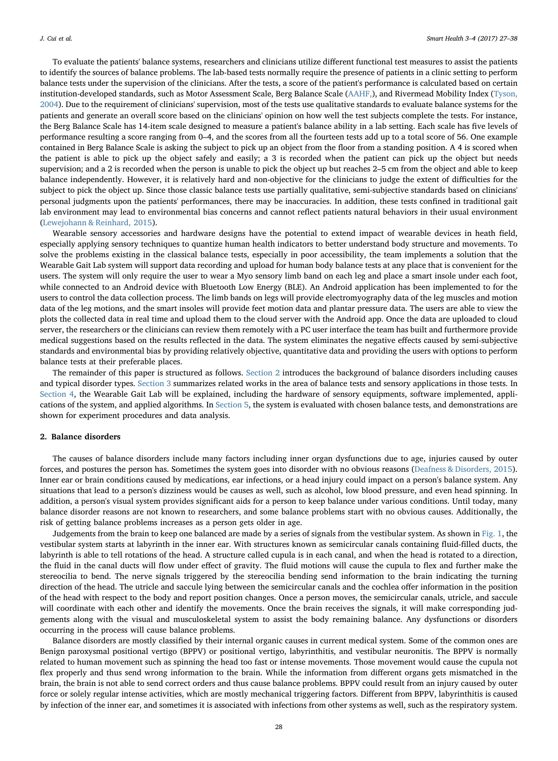To evaluate the patients' balance systems, researchers and clinicians utilize different functional test measures to assist the patients to identify the sources of balance problems. The lab-based tests normally require the presence of patients in a clinic setting to perform balance tests under the supervision of the clinicians. After the tests, a score of the patient's performance is calculated based on certain institution-developed standards, such as Motor Assessment Scale, Berg Balance Scale ([AAHF,](#page-11-4)), and Rivermead Mobility Index ([Tyson,](#page-11-5) [2004\)](#page-11-5). Due to the requirement of clinicians' supervision, most of the tests use qualitative standards to evaluate balance systems for the patients and generate an overall score based on the clinicians' opinion on how well the test subjects complete the tests. For instance, the Berg Balance Scale has 14-item scale designed to measure a patient's balance ability in a lab setting. Each scale has five levels of performance resulting a score ranging from 0–4, and the scores from all the fourteen tests add up to a total score of 56. One example contained in Berg Balance Scale is asking the subject to pick up an object from the floor from a standing position. A 4 is scored when the patient is able to pick up the object safely and easily; a 3 is recorded when the patient can pick up the object but needs supervision; and a 2 is recorded when the person is unable to pick the object up but reaches 2–5 cm from the object and able to keep balance independently. However, it is relatively hard and non-objective for the clinicians to judge the extent of difficulties for the subject to pick the object up. Since those classic balance tests use partially qualitative, semi-subjective standards based on clinicians' personal judgments upon the patients' performances, there may be inaccuracies. In addition, these tests confined in traditional gait lab environment may lead to environmental bias concerns and cannot reflect patients natural behaviors in their usual environment ([Lewejohann & Reinhard, 2015](#page-11-6)).

Wearable sensory accessories and hardware designs have the potential to extend impact of wearable devices in heath field, especially applying sensory techniques to quantize human health indicators to better understand body structure and movements. To solve the problems existing in the classical balance tests, especially in poor accessibility, the team implements a solution that the Wearable Gait Lab system will support data recording and upload for human body balance tests at any place that is convenient for the users. The system will only require the user to wear a Myo sensory limb band on each leg and place a smart insole under each foot, while connected to an Android device with Bluetooth Low Energy (BLE). An Android application has been implemented to for the users to control the data collection process. The limb bands on legs will provide electromyography data of the leg muscles and motion data of the leg motions, and the smart insoles will provide feet motion data and plantar pressure data. The users are able to view the plots the collected data in real time and upload them to the cloud server with the Android app. Once the data are uploaded to cloud server, the researchers or the clinicians can review them remotely with a PC user interface the team has built and furthermore provide medical suggestions based on the results reflected in the data. The system eliminates the negative effects caused by semi-subjective standards and environmental bias by providing relatively objective, quantitative data and providing the users with options to perform balance tests at their preferable places.

The remainder of this paper is structured as follows. [Section 2](#page-1-0) introduces the background of balance disorders including causes and typical disorder types. [Section 3](#page-2-0) summarizes related works in the area of balance tests and sensory applications in those tests. In [Section 4](#page-3-0), the Wearable Gait Lab will be explained, including the hardware of sensory equipments, software implemented, applications of the system, and applied algorithms. In [Section 5,](#page-6-0) the system is evaluated with chosen balance tests, and demonstrations are shown for experiment procedures and data analysis.

## <span id="page-1-0"></span>2. Balance disorders

The causes of balance disorders include many factors including inner organ dysfunctions due to age, injuries caused by outer forces, and postures the person has. Sometimes the system goes into disorder with no obvious reasons ([Deafness & Disorders, 2015](#page-11-1)). Inner ear or brain conditions caused by medications, ear infections, or a head injury could impact on a person's balance system. Any situations that lead to a person's dizziness would be causes as well, such as alcohol, low blood pressure, and even head spinning. In addition, a person's visual system provides significant aids for a person to keep balance under various conditions. Until today, many balance disorder reasons are not known to researchers, and some balance problems start with no obvious causes. Additionally, the risk of getting balance problems increases as a person gets older in age.

Judgements from the brain to keep one balanced are made by a series of signals from the vestibular system. As shown in [Fig. 1,](#page-2-1) the vestibular system starts at labyrinth in the inner ear. With structures known as semicircular canals containing fluid-filled ducts, the labyrinth is able to tell rotations of the head. A structure called cupula is in each canal, and when the head is rotated to a direction, the fluid in the canal ducts will flow under effect of gravity. The fluid motions will cause the cupula to flex and further make the stereocilia to bend. The nerve signals triggered by the stereocilia bending send information to the brain indicating the turning direction of the head. The utricle and saccule lying between the semicircular canals and the cochlea offer information in the position of the head with respect to the body and report position changes. Once a person moves, the semicircular canals, utricle, and saccule will coordinate with each other and identify the movements. Once the brain receives the signals, it will make corresponding judgements along with the visual and musculoskeletal system to assist the body remaining balance. Any dysfunctions or disorders occurring in the process will cause balance problems.

Balance disorders are mostly classified by their internal organic causes in current medical system. Some of the common ones are Benign paroxysmal positional vertigo (BPPV) or positional vertigo, labyrinthitis, and vestibular neuronitis. The BPPV is normally related to human movement such as spinning the head too fast or intense movements. Those movement would cause the cupula not flex properly and thus send wrong information to the brain. While the information from different organs gets mismatched in the brain, the brain is not able to send correct orders and thus cause balance problems. BPPV could result from an injury caused by outer force or solely regular intense activities, which are mostly mechanical triggering factors. Different from BPPV, labyrinthitis is caused by infection of the inner ear, and sometimes it is associated with infections from other systems as well, such as the respiratory system.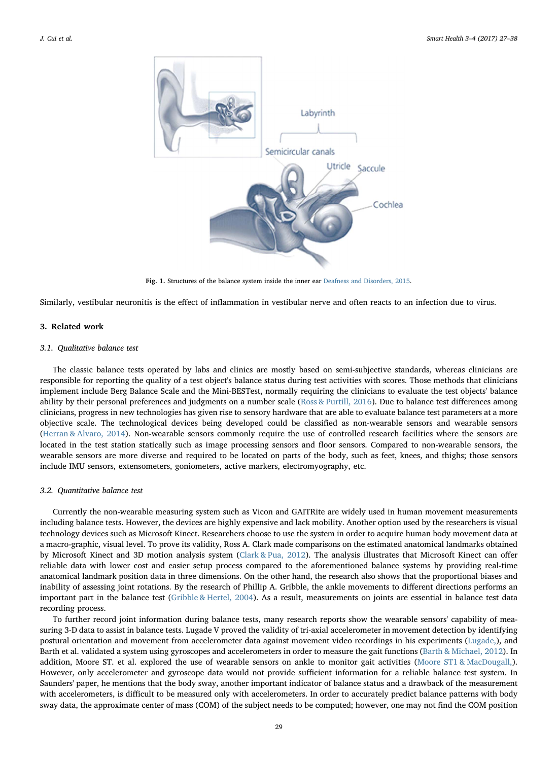<span id="page-2-1"></span>

Fig. 1. Structures of the balance system inside the inner ear [Deafness and Disorders, 2015](#page-11-1).

Similarly, vestibular neuronitis is the effect of inflammation in vestibular nerve and often reacts to an infection due to virus.

#### <span id="page-2-0"></span>3. Related work

## 3.1. Qualitative balance test

The classic balance tests operated by labs and clinics are mostly based on semi-subjective standards, whereas clinicians are responsible for reporting the quality of a test object's balance status during test activities with scores. Those methods that clinicians implement include Berg Balance Scale and the Mini-BESTest, normally requiring the clinicians to evaluate the test objects' balance ability by their personal preferences and judgments on a number scale ([Ross & Purtill, 2016\)](#page-11-7). Due to balance test differences among clinicians, progress in new technologies has given rise to sensory hardware that are able to evaluate balance test parameters at a more objective scale. The technological devices being developed could be classified as non-wearable sensors and wearable sensors ([Herran & Alvaro, 2014](#page-11-8)). Non-wearable sensors commonly require the use of controlled research facilities where the sensors are located in the test station statically such as image processing sensors and floor sensors. Compared to non-wearable sensors, the wearable sensors are more diverse and required to be located on parts of the body, such as feet, knees, and thighs; those sensors include IMU sensors, extensometers, goniometers, active markers, electromyography, etc.

### 3.2. Quantitative balance test

Currently the non-wearable measuring system such as Vicon and GAITRite are widely used in human movement measurements including balance tests. However, the devices are highly expensive and lack mobility. Another option used by the researchers is visual technology devices such as Microsoft Kinect. Researchers choose to use the system in order to acquire human body movement data at a macro-graphic, visual level. To prove its validity, Ross A. Clark made comparisons on the estimated anatomical landmarks obtained by Microsoft Kinect and 3D motion analysis system ([Clark & Pua, 2012](#page-11-9)). The analysis illustrates that Microsoft Kinect can offer reliable data with lower cost and easier setup process compared to the aforementioned balance systems by providing real-time anatomical landmark position data in three dimensions. On the other hand, the research also shows that the proportional biases and inability of assessing joint rotations. By the research of Phillip A. Gribble, the ankle movements to different directions performs an important part in the balance test [\(Gribble & Hertel, 2004](#page-11-10)). As a result, measurements on joints are essential in balance test data recording process.

To further record joint information during balance tests, many research reports show the wearable sensors' capability of measuring 3-D data to assist in balance tests. Lugade V proved the validity of tri-axial accelerometer in movement detection by identifying postural orientation and movement from accelerometer data against movement video recordings in his experiments ([Lugade,](#page-11-11)), and Barth et al. validated a system using gyroscopes and accelerometers in order to measure the gait functions ([Barth & Michael, 2012\)](#page-11-12). In addition, Moore ST. et al. explored the use of wearable sensors on ankle to monitor gait activities [\(Moore ST1 & MacDougall,\)](#page-11-13). However, only accelerometer and gyroscope data would not provide sufficient information for a reliable balance test system. In Saunders' paper, he mentions that the body sway, another important indicator of balance status and a drawback of the measurement with accelerometers, is difficult to be measured only with accelerometers. In order to accurately predict balance patterns with body sway data, the approximate center of mass (COM) of the subject needs to be computed; however, one may not find the COM position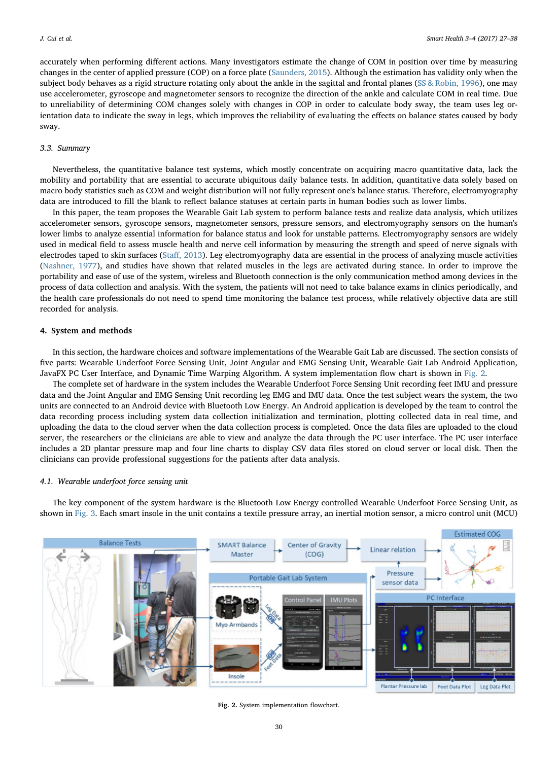accurately when performing different actions. Many investigators estimate the change of COM in position over time by measuring changes in the center of applied pressure (COP) on a force plate [\(Saunders, 2015](#page-11-14)). Although the estimation has validity only when the subject body behaves as a rigid structure rotating only about the ankle in the sagittal and frontal planes ([SS & Robin, 1996\)](#page-11-15), one may use accelerometer, gyroscope and magnetometer sensors to recognize the direction of the ankle and calculate COM in real time. Due to unreliability of determining COM changes solely with changes in COP in order to calculate body sway, the team uses leg orientation data to indicate the sway in legs, which improves the reliability of evaluating the effects on balance states caused by body sway.

## 3.3. Summary

Nevertheless, the quantitative balance test systems, which mostly concentrate on acquiring macro quantitative data, lack the mobility and portability that are essential to accurate ubiquitous daily balance tests. In addition, quantitative data solely based on macro body statistics such as COM and weight distribution will not fully represent one's balance status. Therefore, electromyography data are introduced to fill the blank to reflect balance statuses at certain parts in human bodies such as lower limbs.

In this paper, the team proposes the Wearable Gait Lab system to perform balance tests and realize data analysis, which utilizes accelerometer sensors, gyroscope sensors, magnetometer sensors, pressure sensors, and electromyography sensors on the human's lower limbs to analyze essential information for balance status and look for unstable patterns. Electromyography sensors are widely used in medical field to assess muscle health and nerve cell information by measuring the strength and speed of nerve signals with electrodes taped to skin surfaces (Staff[, 2013](#page-11-16)). Leg electromyography data are essential in the process of analyzing muscle activities ([Nashner, 1977\)](#page-11-17), and studies have shown that related muscles in the legs are activated during stance. In order to improve the portability and ease of use of the system, wireless and Bluetooth connection is the only communication method among devices in the process of data collection and analysis. With the system, the patients will not need to take balance exams in clinics periodically, and the health care professionals do not need to spend time monitoring the balance test process, while relatively objective data are still recorded for analysis.

## <span id="page-3-0"></span>4. System and methods

In this section, the hardware choices and software implementations of the Wearable Gait Lab are discussed. The section consists of five parts: Wearable Underfoot Force Sensing Unit, Joint Angular and EMG Sensing Unit, Wearable Gait Lab Android Application, JavaFX PC User Interface, and Dynamic Time Warping Algorithm. A system implementation flow chart is shown in [Fig. 2.](#page-3-1)

The complete set of hardware in the system includes the Wearable Underfoot Force Sensing Unit recording feet IMU and pressure data and the Joint Angular and EMG Sensing Unit recording leg EMG and IMU data. Once the test subject wears the system, the two units are connected to an Android device with Bluetooth Low Energy. An Android application is developed by the team to control the data recording process including system data collection initialization and termination, plotting collected data in real time, and uploading the data to the cloud server when the data collection process is completed. Once the data files are uploaded to the cloud server, the researchers or the clinicians are able to view and analyze the data through the PC user interface. The PC user interface includes a 2D plantar pressure map and four line charts to display CSV data files stored on cloud server or local disk. Then the clinicians can provide professional suggestions for the patients after data analysis.

#### 4.1. Wearable underfoot force sensing unit

The key component of the system hardware is the Bluetooth Low Energy controlled Wearable Underfoot Force Sensing Unit, as shown in [Fig. 3.](#page-4-0) Each smart insole in the unit contains a textile pressure array, an inertial motion sensor, a micro control unit (MCU)

<span id="page-3-1"></span>

Fig. 2. System implementation flowchart.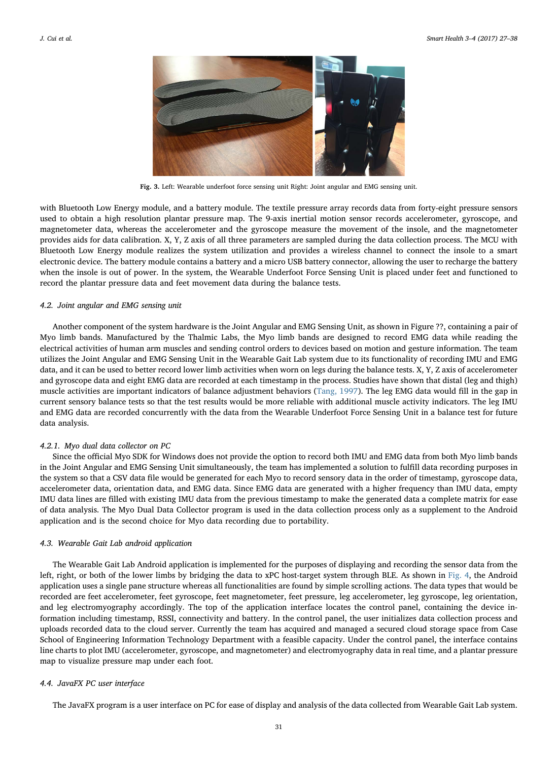<span id="page-4-0"></span>

Fig. 3. Left: Wearable underfoot force sensing unit Right: Joint angular and EMG sensing unit.

with Bluetooth Low Energy module, and a battery module. The textile pressure array records data from forty-eight pressure sensors used to obtain a high resolution plantar pressure map. The 9-axis inertial motion sensor records accelerometer, gyroscope, and magnetometer data, whereas the accelerometer and the gyroscope measure the movement of the insole, and the magnetometer provides aids for data calibration. X, Y, Z axis of all three parameters are sampled during the data collection process. The MCU with Bluetooth Low Energy module realizes the system utilization and provides a wireless channel to connect the insole to a smart electronic device. The battery module contains a battery and a micro USB battery connector, allowing the user to recharge the battery when the insole is out of power. In the system, the Wearable Underfoot Force Sensing Unit is placed under feet and functioned to record the plantar pressure data and feet movement data during the balance tests.

## 4.2. Joint angular and EMG sensing unit

Another component of the system hardware is the Joint Angular and EMG Sensing Unit, as shown in Figure ??, containing a pair of Myo limb bands. Manufactured by the Thalmic Labs, the Myo limb bands are designed to record EMG data while reading the electrical activities of human arm muscles and sending control orders to devices based on motion and gesture information. The team utilizes the Joint Angular and EMG Sensing Unit in the Wearable Gait Lab system due to its functionality of recording IMU and EMG data, and it can be used to better record lower limb activities when worn on legs during the balance tests. X, Y, Z axis of accelerometer and gyroscope data and eight EMG data are recorded at each timestamp in the process. Studies have shown that distal (leg and thigh) muscle activities are important indicators of balance adjustment behaviors [\(Tang, 1997](#page-11-18)). The leg EMG data would fill in the gap in current sensory balance tests so that the test results would be more reliable with additional muscle activity indicators. The leg IMU and EMG data are recorded concurrently with the data from the Wearable Underfoot Force Sensing Unit in a balance test for future data analysis.

## 4.2.1. Myo dual data collector on PC

Since the official Myo SDK for Windows does not provide the option to record both IMU and EMG data from both Myo limb bands in the Joint Angular and EMG Sensing Unit simultaneously, the team has implemented a solution to fulfill data recording purposes in the system so that a CSV data file would be generated for each Myo to record sensory data in the order of timestamp, gyroscope data, accelerometer data, orientation data, and EMG data. Since EMG data are generated with a higher frequency than IMU data, empty IMU data lines are filled with existing IMU data from the previous timestamp to make the generated data a complete matrix for ease of data analysis. The Myo Dual Data Collector program is used in the data collection process only as a supplement to the Android application and is the second choice for Myo data recording due to portability.

## 4.3. Wearable Gait Lab android application

The Wearable Gait Lab Android application is implemented for the purposes of displaying and recording the sensor data from the left, right, or both of the lower limbs by bridging the data to xPC host-target system through BLE. As shown in [Fig. 4,](#page-5-0) the Android application uses a single pane structure whereas all functionalities are found by simple scrolling actions. The data types that would be recorded are feet accelerometer, feet gyroscope, feet magnetometer, feet pressure, leg accelerometer, leg gyroscope, leg orientation, and leg electromyography accordingly. The top of the application interface locates the control panel, containing the device information including timestamp, RSSI, connectivity and battery. In the control panel, the user initializes data collection process and uploads recorded data to the cloud server. Currently the team has acquired and managed a secured cloud storage space from Case School of Engineering Information Technology Department with a feasible capacity. Under the control panel, the interface contains line charts to plot IMU (accelerometer, gyroscope, and magnetometer) and electromyography data in real time, and a plantar pressure map to visualize pressure map under each foot.

## 4.4. JavaFX PC user interface

The JavaFX program is a user interface on PC for ease of display and analysis of the data collected from Wearable Gait Lab system.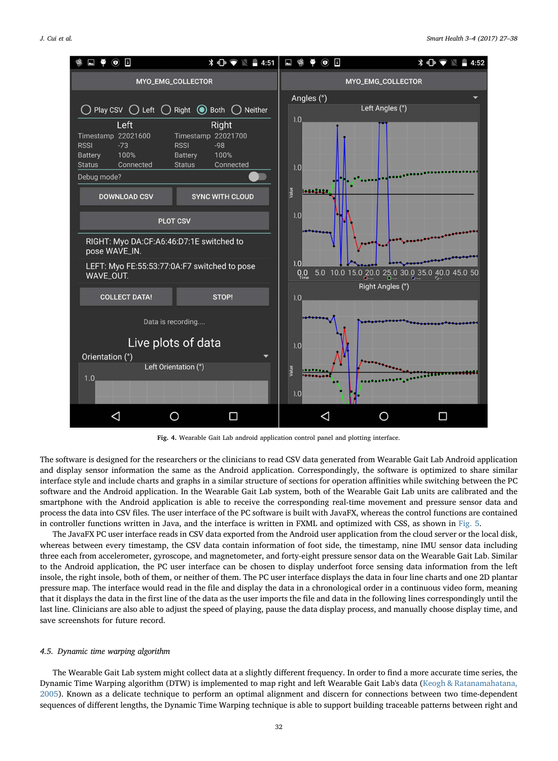<span id="page-5-0"></span>

Fig. 4. Wearable Gait Lab android application control panel and plotting interface.

The software is designed for the researchers or the clinicians to read CSV data generated from Wearable Gait Lab Android application and display sensor information the same as the Android application. Correspondingly, the software is optimized to share similar interface style and include charts and graphs in a similar structure of sections for operation affinities while switching between the PC software and the Android application. In the Wearable Gait Lab system, both of the Wearable Gait Lab units are calibrated and the smartphone with the Android application is able to receive the corresponding real-time movement and pressure sensor data and process the data into CSV files. The user interface of the PC software is built with JavaFX, whereas the control functions are contained in controller functions written in Java, and the interface is written in FXML and optimized with CSS, as shown in [Fig. 5.](#page-6-1)

The JavaFX PC user interface reads in CSV data exported from the Android user application from the cloud server or the local disk, whereas between every timestamp, the CSV data contain information of foot side, the timestamp, nine IMU sensor data including three each from accelerometer, gyroscope, and magnetometer, and forty-eight pressure sensor data on the Wearable Gait Lab. Similar to the Android application, the PC user interface can be chosen to display underfoot force sensing data information from the left insole, the right insole, both of them, or neither of them. The PC user interface displays the data in four line charts and one 2D plantar pressure map. The interface would read in the file and display the data in a chronological order in a continuous video form, meaning that it displays the data in the first line of the data as the user imports the file and data in the following lines correspondingly until the last line. Clinicians are also able to adjust the speed of playing, pause the data display process, and manually choose display time, and save screenshots for future record.

#### 4.5. Dynamic time warping algorithm

The Wearable Gait Lab system might collect data at a slightly different frequency. In order to find a more accurate time series, the Dynamic Time Warping algorithm (DTW) is implemented to map right and left Wearable Gait Lab's data ([Keogh & Ratanamahatana,](#page-11-19) [2005\)](#page-11-19). Known as a delicate technique to perform an optimal alignment and discern for connections between two time-dependent sequences of different lengths, the Dynamic Time Warping technique is able to support building traceable patterns between right and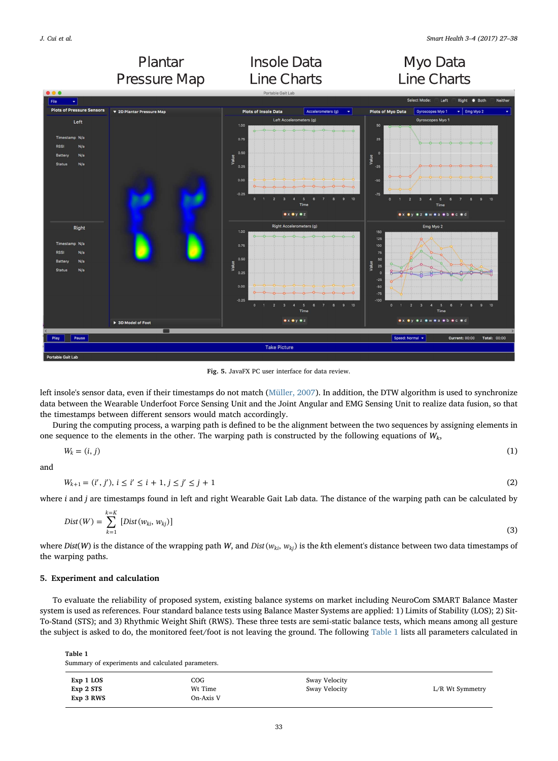<span id="page-6-1"></span>

Fig. 5. JavaFX PC user interface for data review.

left insole's sensor data, even if their timestamps do not match [\(Müller, 2007\)](#page-11-20). In addition, the DTW algorithm is used to synchronize data between the Wearable Underfoot Force Sensing Unit and the Joint Angular and EMG Sensing Unit to realize data fusion, so that the timestamps between different sensors would match accordingly.

During the computing process, a warping path is defined to be the alignment between the two sequences by assigning elements in one sequence to the elements in the other. The warping path is constructed by the following equations of  $W_k$ ,

$$
W_k = (i, j) \tag{1}
$$

and

$$
W_{k+1} = (i', j'), i \le i' \le i + 1, j \le j' \le j + 1
$$
\n<sup>(2)</sup>

where *i* and *j* are timestamps found in left and right Wearable Gait Lab data. The distance of the warping path can be calculated by

$$
Dist(W) = \sum_{k=1}^{k=K} [Dist(w_{ki}, w_{kj})]
$$
\n(3)

where *Dist*(*W*) is the distance of the wrapping path *W*, and *Dist*( $w_{ki}$ ,  $w_{ki}$ ) is the kth element's distance between two data timestamps of the warping paths.

# <span id="page-6-0"></span>5. Experiment and calculation

To evaluate the reliability of proposed system, existing balance systems on market including NeuroCom SMART Balance Master system is used as references. Four standard balance tests using Balance Master Systems are applied: 1) Limits of Stability (LOS); 2) Sit-To-Stand (STS); and 3) Rhythmic Weight Shift (RWS). These three tests are semi-static balance tests, which means among all gesture the subject is asked to do, the monitored feet/foot is not leaving the ground. The following [Table 1](#page-6-2) lists all parameters calculated in

<span id="page-6-2"></span>Table 1 Summary of experiments and calculated parameters.

| Exp 1 LOS | COG       | Sway Velocity |                 |
|-----------|-----------|---------------|-----------------|
| Exp 2 STS | Wt Time   | Sway Velocity | L/R Wt Symmetry |
| Exp 3 RWS | On-Axis V |               |                 |
|           |           |               |                 |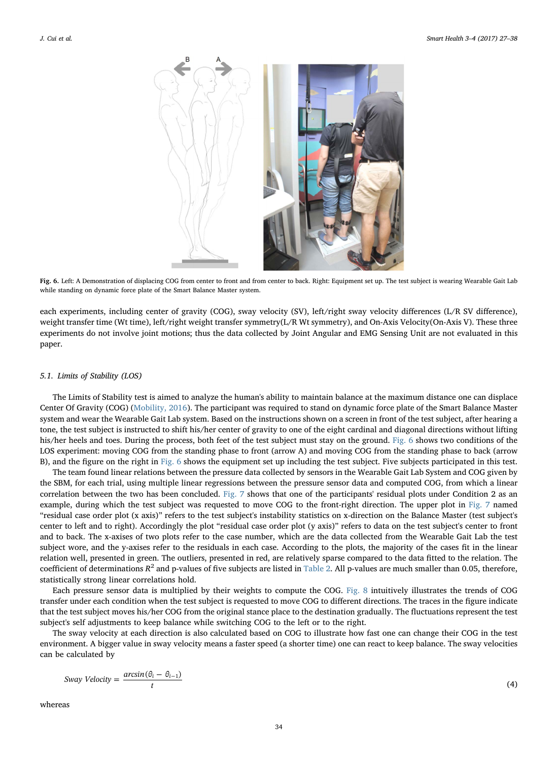<span id="page-7-0"></span>

Fig. 6. Left: A Demonstration of displacing COG from center to front and from center to back. Right: Equipment set up. The test subject is wearing Wearable Gait Lab while standing on dynamic force plate of the Smart Balance Master system.

each experiments, including center of gravity (COG), sway velocity (SV), left/right sway velocity differences (L/R SV difference), weight transfer time (Wt time), left/right weight transfer symmetry(L/R Wt symmetry), and On-Axis Velocity(On-Axis V). These three experiments do not involve joint motions; thus the data collected by Joint Angular and EMG Sensing Unit are not evaluated in this paper.

## 5.1. Limits of Stability (LOS)

The Limits of Stability test is aimed to analyze the human's ability to maintain balance at the maximum distance one can displace Center Of Gravity (COG) ([Mobility, 2016\)](#page-11-21). The participant was required to stand on dynamic force plate of the Smart Balance Master system and wear the Wearable Gait Lab system. Based on the instructions shown on a screen in front of the test subject, after hearing a tone, the test subject is instructed to shift his/her center of gravity to one of the eight cardinal and diagonal directions without lifting his/her heels and toes. During the process, both feet of the test subject must stay on the ground. [Fig. 6](#page-7-0) shows two conditions of the LOS experiment: moving COG from the standing phase to front (arrow A) and moving COG from the standing phase to back (arrow B), and the figure on the right in [Fig. 6](#page-7-0) shows the equipment set up including the test subject. Five subjects participated in this test.

The team found linear relations between the pressure data collected by sensors in the Wearable Gait Lab System and COG given by the SBM, for each trial, using multiple linear regressions between the pressure sensor data and computed COG, from which a linear correlation between the two has been concluded. [Fig. 7](#page-8-0) shows that one of the participants' residual plots under Condition 2 as an example, during which the test subject was requested to move COG to the front-right direction. The upper plot in [Fig. 7](#page-8-0) named "residual case order plot (x axis)" refers to the test subject's instability statistics on x-direction on the Balance Master (test subject's center to left and to right). Accordingly the plot "residual case order plot (y axis)" refers to data on the test subject's center to front and to back. The x-axises of two plots refer to the case number, which are the data collected from the Wearable Gait Lab the test subject wore, and the y-axises refer to the residuals in each case. According to the plots, the majority of the cases fit in the linear relation well, presented in green. The outliers, presented in red, are relatively sparse compared to the data fitted to the relation. The coefficient of determinations  $R^2$  and p-values of five subjects are listed in [Table 2.](#page-8-1) All p-values are much smaller than 0.05, therefore, statistically strong linear correlations hold.

Each pressure sensor data is multiplied by their weights to compute the COG. [Fig. 8](#page-9-0) intuitively illustrates the trends of COG transfer under each condition when the test subject is requested to move COG to different directions. The traces in the figure indicate that the test subject moves his/her COG from the original stance place to the destination gradually. The fluctuations represent the test subject's self adjustments to keep balance while switching COG to the left or to the right.

The sway velocity at each direction is also calculated based on COG to illustrate how fast one can change their COG in the test environment. A bigger value in sway velocity means a faster speed (a shorter time) one can react to keep balance. The sway velocities can be calculated by

$$
Sway\;Velocity = \frac{arcsin(\theta_i - \theta_{i-1})}{t}
$$

whereas

(4)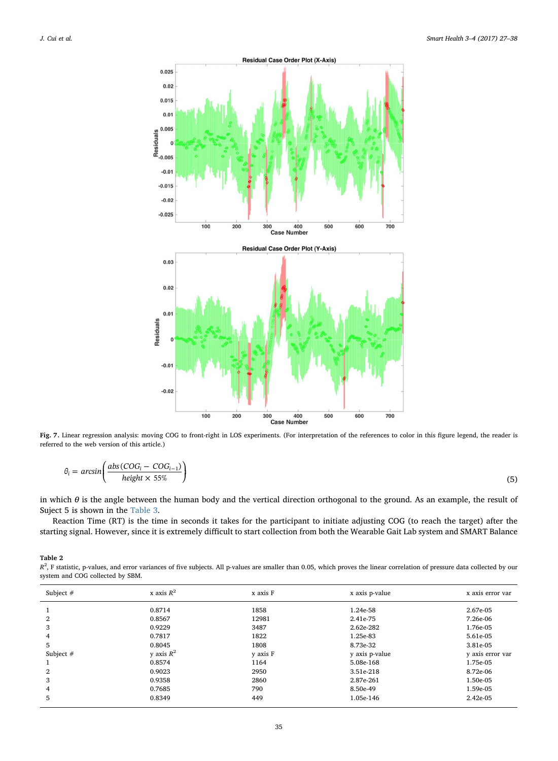<span id="page-8-0"></span>

Fig. 7. Linear regression analysis: moving COG to front-right in LOS experiments. (For interpretation of the references to color in this figure legend, the reader is referred to the web version of this article.)

$$
\theta_i = \arcsin\left(\frac{abs(COG_i - COG_{i-1})}{height \times 55\%}\right) \tag{5}
$$

in which  $\theta$  is the angle between the human body and the vertical direction orthogonal to the ground. As an example, the result of Suject 5 is shown in the [Table 3.](#page-9-1)

Reaction Time (RT) is the time in seconds it takes for the participant to initiate adjusting COG (to reach the target) after the starting signal. However, since it is extremely difficult to start collection from both the Wearable Gait Lab system and SMART Balance

<span id="page-8-1"></span>Table 2

 $R^2$ , F statistic, p-values, and error variances of five subjects. All p-values are smaller than 0.05, which proves the linear correlation of pressure data collected by our system and COG collected by SBM.

| Subject $#$ | x axis $R^2$ | x axis F | x axis p-value | x axis error var |
|-------------|--------------|----------|----------------|------------------|
| 1           | 0.8714       | 1858     | 1.24e-58       | 2.67e-05         |
| 2           | 0.8567       | 12981    | 2.41e-75       | 7.26e-06         |
| 3           | 0.9229       | 3487     | 2.62e-282      | 1.76e-05         |
| 4           | 0.7817       | 1822     | 1.25e-83       | 5.61e-05         |
| 5           | 0.8045       | 1808     | 8.73e-32       | 3.81e-05         |
| Subject $#$ | y axis $R^2$ | y axis F | y axis p-value | y axis error var |
| 1           | 0.8574       | 1164     | 5.08e-168      | 1.75e-05         |
| 2           | 0.9023       | 2950     | 3.51e-218      | 8.72e-06         |
| 3           | 0.9358       | 2860     | 2.87e-261      | 1.50e-05         |
| 4           | 0.7685       | 790      | 8.50e-49       | 1.59e-05         |
| 5           | 0.8349       | 449      | 1.05e-146      | 2.42e-05         |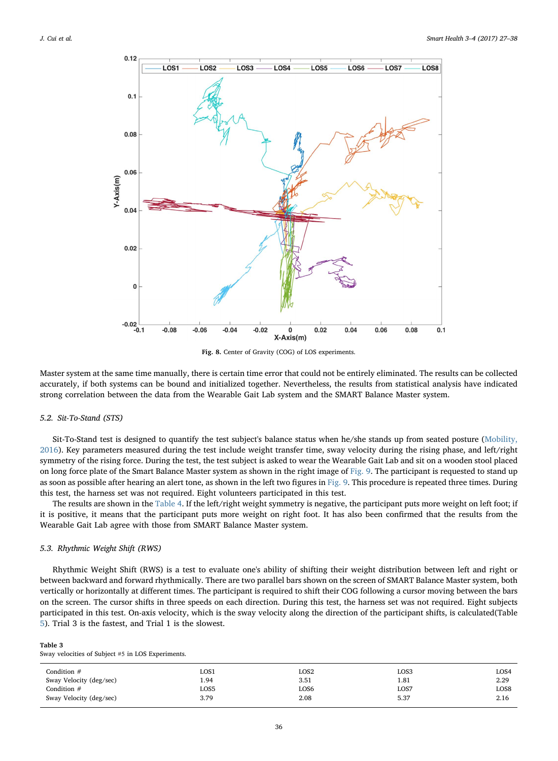<span id="page-9-0"></span>

Fig. 8. Center of Gravity (COG) of LOS experiments.

Master system at the same time manually, there is certain time error that could not be entirely eliminated. The results can be collected accurately, if both systems can be bound and initialized together. Nevertheless, the results from statistical analysis have indicated strong correlation between the data from the Wearable Gait Lab system and the SMART Balance Master system.

#### 5.2. Sit-To-Stand (STS)

Sit-To-Stand test is designed to quantify the test subject's balance status when he/she stands up from seated posture [\(Mobility,](#page-11-21) [2016\)](#page-11-21). Key parameters measured during the test include weight transfer time, sway velocity during the rising phase, and left/right symmetry of the rising force. During the test, the test subject is asked to wear the Wearable Gait Lab and sit on a wooden stool placed on long force plate of the Smart Balance Master system as shown in the right image of [Fig. 9.](#page-10-0) The participant is requested to stand up as soon as possible after hearing an alert tone, as shown in the left two figures in [Fig. 9](#page-10-0). This procedure is repeated three times. During this test, the harness set was not required. Eight volunteers participated in this test.

The results are shown in the [Table 4.](#page-10-1) If the left/right weight symmetry is negative, the participant puts more weight on left foot; if it is positive, it means that the participant puts more weight on right foot. It has also been confirmed that the results from the Wearable Gait Lab agree with those from SMART Balance Master system.

## 5.3. Rhythmic Weight Shift (RWS)

Rhythmic Weight Shift (RWS) is a test to evaluate one's ability of shifting their weight distribution between left and right or between backward and forward rhythmically. There are two parallel bars shown on the screen of SMART Balance Master system, both vertically or horizontally at different times. The participant is required to shift their COG following a cursor moving between the bars on the screen. The cursor shifts in three speeds on each direction. During this test, the harness set was not required. Eight subjects participated in this test. On-axis velocity, which is the sway velocity along the direction of the participant shifts, is calculated(Table [5](#page-11-22)). Trial 3 is the fastest, and Trial 1 is the slowest.

<span id="page-9-1"></span>Table 3

Sway velocities of Subject #5 in LOS Experiments.

| Condition $#$           | LOS1 | LOS2 | LOS3 | LOS4             |
|-------------------------|------|------|------|------------------|
| Sway Velocity (deg/sec) | 1.94 | 3.51 | 1.81 | 2.29             |
| Condition $#$           | LOS5 | LOS6 | LOS7 | LOS <sub>8</sub> |
| Sway Velocity (deg/sec) | 3.79 | 2.08 | 5.37 | 2.16             |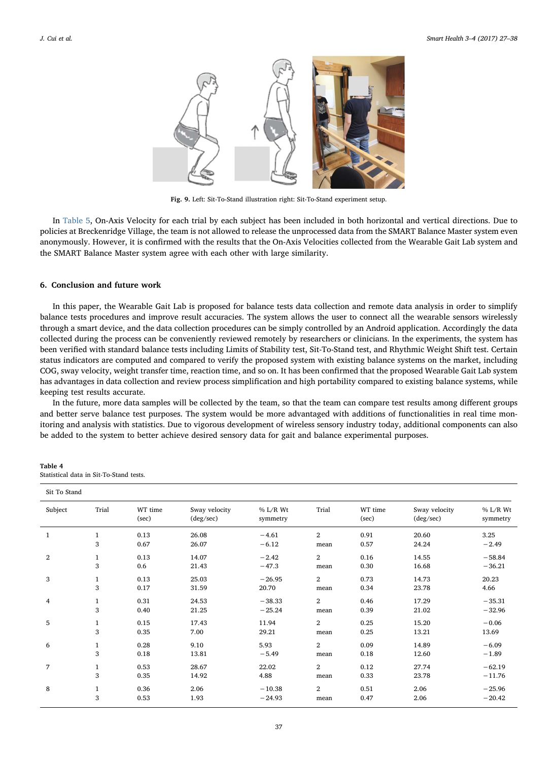<span id="page-10-0"></span>

Fig. 9. Left: Sit-To-Stand illustration right: Sit-To-Stand experiment setup.

In [Table 5](#page-11-22), On-Axis Velocity for each trial by each subject has been included in both horizontal and vertical directions. Due to policies at Breckenridge Village, the team is not allowed to release the unprocessed data from the SMART Balance Master system even anonymously. However, it is confirmed with the results that the On-Axis Velocities collected from the Wearable Gait Lab system and the SMART Balance Master system agree with each other with large similarity.

# 6. Conclusion and future work

In this paper, the Wearable Gait Lab is proposed for balance tests data collection and remote data analysis in order to simplify balance tests procedures and improve result accuracies. The system allows the user to connect all the wearable sensors wirelessly through a smart device, and the data collection procedures can be simply controlled by an Android application. Accordingly the data collected during the process can be conveniently reviewed remotely by researchers or clinicians. In the experiments, the system has been verified with standard balance tests including Limits of Stability test, Sit-To-Stand test, and Rhythmic Weight Shift test. Certain status indicators are computed and compared to verify the proposed system with existing balance systems on the market, including COG, sway velocity, weight transfer time, reaction time, and so on. It has been confirmed that the proposed Wearable Gait Lab system has advantages in data collection and review process simplification and high portability compared to existing balance systems, while keeping test results accurate.

In the future, more data samples will be collected by the team, so that the team can compare test results among different groups and better serve balance test purposes. The system would be more advantaged with additions of functionalities in real time monitoring and analysis with statistics. Due to vigorous development of wireless sensory industry today, additional components can also be added to the system to better achieve desired sensory data for gait and balance experimental purposes.

<span id="page-10-1"></span>

| Table 4 |  |                                         |  |
|---------|--|-----------------------------------------|--|
|         |  | Statistical data in Sit-To-Stand tests. |  |

| Sit To Stand   |              |                  |                                     |                      |                |                  |                                     |                      |
|----------------|--------------|------------------|-------------------------------------|----------------------|----------------|------------------|-------------------------------------|----------------------|
| Subject        | Trial        | WT time<br>(sec) | Sway velocity<br>$(\text{deg/sec})$ | % L/R Wt<br>symmetry | Trial          | WT time<br>(sec) | Sway velocity<br>$(\text{deg/sec})$ | % L/R Wt<br>symmetry |
| $\mathbf{1}$   | 1            | 0.13             | 26.08                               | $-4.61$              | $\overline{2}$ | 0.91             | 20.60                               | 3.25                 |
|                | 3            | 0.67             | 26.07                               | $-6.12$              | mean           | 0.57             | 24.24                               | $-2.49$              |
| $\overline{2}$ | $\mathbf{1}$ | 0.13             | 14.07                               | $-2.42$              | $\overline{2}$ | 0.16             | 14.55                               | $-58.84$             |
|                | 3            | 0.6              | 21.43                               | $-47.3$              | mean           | 0.30             | 16.68                               | $-36.21$             |
| 3              | $\mathbf{1}$ | 0.13             | 25.03                               | $-26.95$             | $\overline{2}$ | 0.73             | 14.73                               | 20.23                |
|                | 3            | 0.17             | 31.59                               | 20.70                | mean           | 0.34             | 23.78                               | 4.66                 |
| 4              | $\mathbf{1}$ | 0.31             | 24.53                               | $-38.33$             | $\overline{2}$ | 0.46             | 17.29                               | $-35.31$             |
|                | 3            | 0.40             | 21.25                               | $-25.24$             | mean           | 0.39             | 21.02                               | $-32.96$             |
| 5              | $\mathbf{1}$ | 0.15             | 17.43                               | 11.94                | $\overline{2}$ | 0.25             | 15.20                               | $-0.06$              |
|                | 3            | 0.35             | 7.00                                | 29.21                | mean           | 0.25             | 13.21                               | 13.69                |
| 6              | $\mathbf{1}$ | 0.28             | 9.10                                | 5.93                 | $\overline{2}$ | 0.09             | 14.89                               | $-6.09$              |
|                | 3            | 0.18             | 13.81                               | $-5.49$              | mean           | 0.18             | 12.60                               | $-1.89$              |
| 7              | $\mathbf{1}$ | 0.53             | 28.67                               | 22.02                | $\overline{2}$ | 0.12             | 27.74                               | $-62.19$             |
|                | 3            | 0.35             | 14.92                               | 4.88                 | mean           | 0.33             | 23.78                               | $-11.76$             |
| 8              | $\mathbf{1}$ | 0.36             | 2.06                                | $-10.38$             | $\overline{2}$ | 0.51             | 2.06                                | $-25.96$             |
|                | 3            | 0.53             | 1.93                                | $-24.93$             | mean           | 0.47             | 2.06                                | $-20.42$             |
|                |              |                  |                                     |                      |                |                  |                                     |                      |